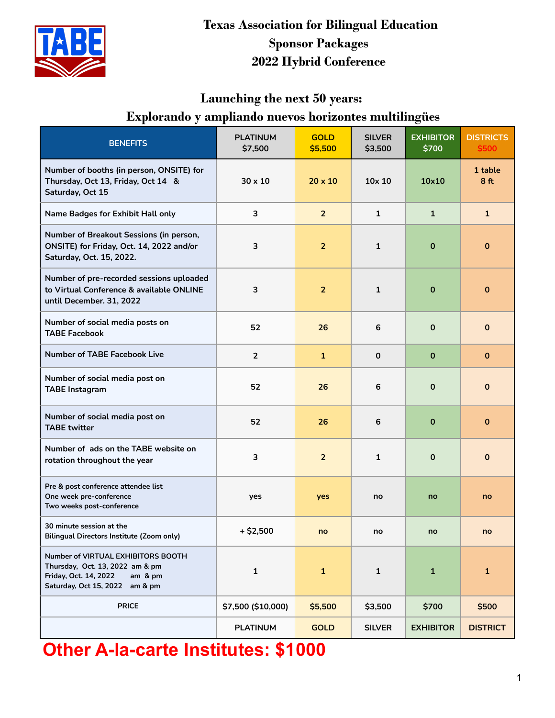

### **Texas Association for Bilingual Education Sponsor Packages 2022 Hybrid Conference**

#### **Launching the next 50 years:**

#### **Explorando y ampliando nuevos horizontes multilingües**

| <b>BENEFITS</b>                                                                                                                             | <b>PLATINUM</b><br>\$7,500 | <b>GOLD</b><br>\$5,500 | <b>SILVER</b><br>\$3,500 | <b>EXHIBITOR</b><br>\$700 | <b>DISTRICTS</b><br>\$500  |
|---------------------------------------------------------------------------------------------------------------------------------------------|----------------------------|------------------------|--------------------------|---------------------------|----------------------------|
| Number of booths (in person, ONSITE) for<br>Thursday, Oct 13, Friday, Oct 14 &<br>Saturday, Oct 15                                          | $30 \times 10$             | $20 \times 10$         | $10\times 10$            | 10×10                     | 1 table<br>8 <sub>ft</sub> |
| <b>Name Badges for Exhibit Hall only</b>                                                                                                    | 3                          | $\overline{2}$         | $\mathbf{1}$             | $\mathbf{1}$              | $\mathbf{1}$               |
| Number of Breakout Sessions (in person,<br>ONSITE) for Friday, Oct. 14, 2022 and/or<br>Saturday, Oct. 15, 2022.                             | 3                          | $\overline{2}$         | $\mathbf{1}$             | $\mathbf 0$               | $\mathbf 0$                |
| Number of pre-recorded sessions uploaded<br>to Virtual Conference & available ONLINE<br>until December. 31, 2022                            | 3                          | $\overline{2}$         | $\mathbf{1}$             | $\mathbf 0$               | $\mathbf 0$                |
| Number of social media posts on<br><b>TABE Facebook</b>                                                                                     | 52                         | 26                     | 6                        | $\mathbf{0}$              | $\mathbf 0$                |
| <b>Number of TABE Facebook Live</b>                                                                                                         | $\overline{2}$             | $\mathbf{1}$           | $\mathbf 0$              | $\mathbf{0}$              | $\mathbf 0$                |
| Number of social media post on<br><b>TABE Instagram</b>                                                                                     | 52                         | 26                     | 6                        | $\mathbf{0}$              | $\mathbf 0$                |
| Number of social media post on<br><b>TABE twitter</b>                                                                                       | 52                         | 26                     | 6                        | $\mathbf 0$               | $\mathbf 0$                |
| Number of ads on the TABE website on<br>rotation throughout the year                                                                        | з                          | $\overline{2}$         | $\mathbf{1}$             | $\mathbf{0}$              | $\mathbf 0$                |
| Pre & post conference attendee list<br>One week pre-conference<br>Two weeks post-conference                                                 | yes                        | yes                    | no                       | no                        | no                         |
| <b>30 minute session at the</b><br>Bilingual Directors Institute (Zoom only)                                                                | $+ $2,500$                 | no                     | no                       | no                        | no                         |
| Number of VIRTUAL EXHIBITORS BOOTH<br>Thursday, Oct. 13, 2022 am & pm<br>Friday, Oct. 14, 2022<br>am & pm<br>Saturday, Oct 15, 2022 am & pm | 1                          | $\mathbf{1}$           | $\mathbf{1}$             | $\mathbf{1}$              | $\mathbf{1}$               |
| <b>PRICE</b>                                                                                                                                | \$7,500 (\$10,000)         | \$5,500                | \$3,500                  | \$700                     | \$500                      |
|                                                                                                                                             | <b>PLATINUM</b>            | <b>GOLD</b>            | <b>SILVER</b>            | <b>EXHIBITOR</b>          | <b>DISTRICT</b>            |

**Other A-la-carte Institutes: \$1000**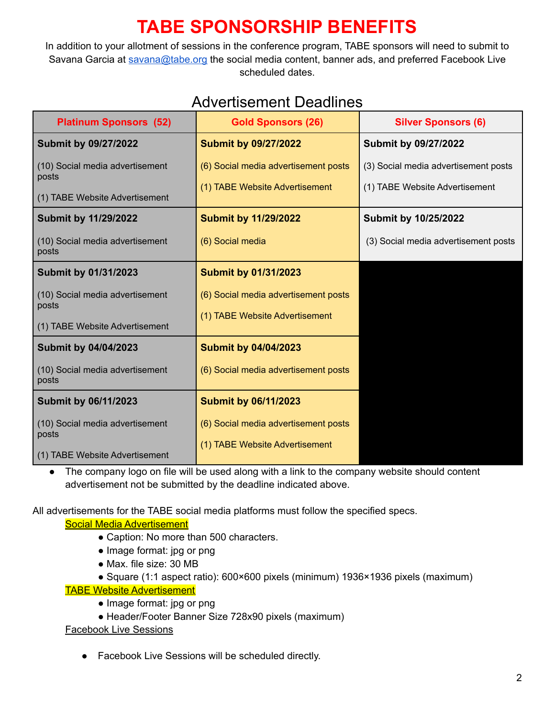# **TABE SPONSORSHIP BENEFITS**

In addition to your allotment of sessions in the conference program, TABE sponsors will need to submit to Savana Garcia at [savana@tabe.org](mailto:savana@tabe.org) the social media content, banner ads, and preferred Facebook Live scheduled dates.

## Advertisement Deadlines

| <b>Platinum Sponsors (52)</b>            | <b>Gold Sponsors (26)</b>            | <b>Silver Sponsors (6)</b>           |  |  |
|------------------------------------------|--------------------------------------|--------------------------------------|--|--|
| <b>Submit by 09/27/2022</b>              | <b>Submit by 09/27/2022</b>          | Submit by 09/27/2022                 |  |  |
| (10) Social media advertisement          | (6) Social media advertisement posts | (3) Social media advertisement posts |  |  |
| posts<br>(1) TABE Website Advertisement  | (1) TABE Website Advertisement       | (1) TABE Website Advertisement       |  |  |
| <b>Submit by 11/29/2022</b>              | <b>Submit by 11/29/2022</b>          | Submit by 10/25/2022                 |  |  |
| (10) Social media advertisement<br>posts | (6) Social media                     | (3) Social media advertisement posts |  |  |
| Submit by 01/31/2023                     | <b>Submit by 01/31/2023</b>          |                                      |  |  |
| (10) Social media advertisement<br>posts | (6) Social media advertisement posts |                                      |  |  |
| (1) TABE Website Advertisement           | (1) TABE Website Advertisement       |                                      |  |  |
| <b>Submit by 04/04/2023</b>              | <b>Submit by 04/04/2023</b>          |                                      |  |  |
| (10) Social media advertisement<br>posts | (6) Social media advertisement posts |                                      |  |  |
| <b>Submit by 06/11/2023</b>              | <b>Submit by 06/11/2023</b>          |                                      |  |  |
| (10) Social media advertisement<br>posts | (6) Social media advertisement posts |                                      |  |  |
| (1) TABE Website Advertisement           | (1) TABE Website Advertisement       |                                      |  |  |

• The company logo on file will be used along with a link to the company website should content advertisement not be submitted by the deadline indicated above.

All advertisements for the TABE social media platforms must follow the specified specs.

Social Media Advertisement

- Caption: No more than 500 characters.
- Image format: jpg or png
- Max. file size: 30 MB
- Square (1:1 aspect ratio): 600×600 pixels (minimum) 1936×1936 pixels (maximum)

TABE Website Advertisement

- Image format: jpg or png
- Header/Footer Banner Size 728x90 pixels (maximum)

Facebook Live Sessions

● Facebook Live Sessions will be scheduled directly.